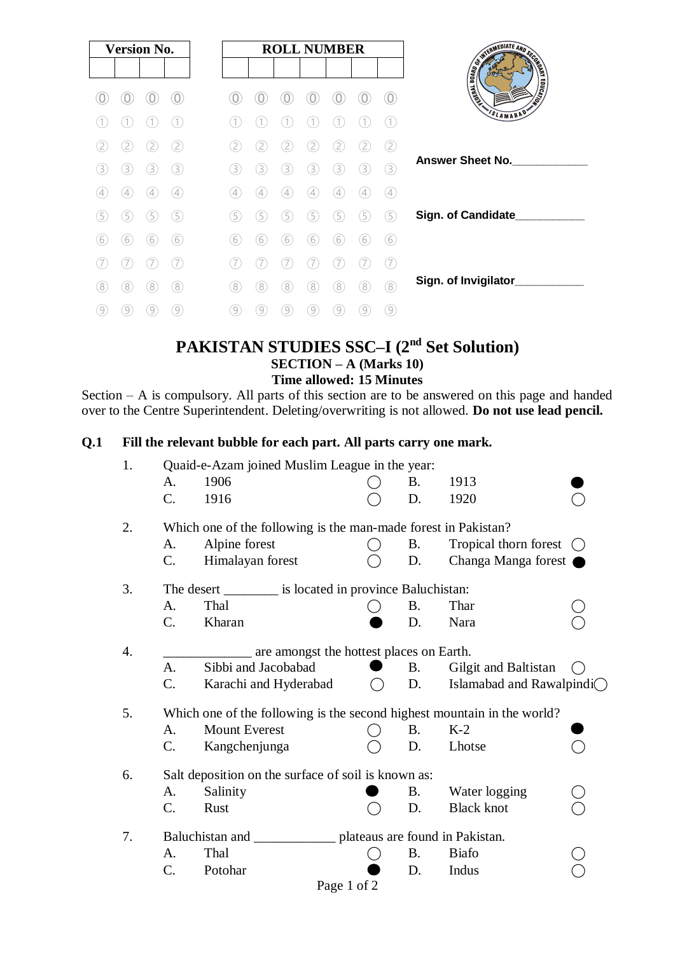|                  | <b>Version No.</b> |             |                   |  |     |                   |                   |                   | <b>ROLL NUMBER</b> |                   |                   |
|------------------|--------------------|-------------|-------------------|--|-----|-------------------|-------------------|-------------------|--------------------|-------------------|-------------------|
|                  |                    |             |                   |  |     |                   |                   |                   |                    |                   | O                 |
|                  |                    |             |                   |  |     |                   |                   |                   |                    |                   |                   |
| 2                |                    |             | 2                 |  | 2   |                   |                   |                   |                    |                   | (2                |
| 3                | 3                  | 3           | 3                 |  | 3.  | 3.                | 3                 | 3                 | 3                  | 3                 | (3)               |
| 4                | 4                  | 4           | (4)               |  | (4) | $\left( 4\right)$ | $\left( 4\right)$ | $\left( 4\right)$ | 4                  | $\overline{4}$    | (4)               |
| (5               | 5                  | 5           | (5)               |  | (5  | 5                 | 5                 | 5                 | 5                  | 5                 | (5                |
| $6^{\circ}$      | (6)                | $6^{\circ}$ | (6)               |  | (6) | (6)               | 6                 | (6)               | 6                  | 6                 | (6)               |
|                  |                    |             |                   |  |     |                   |                   |                   |                    |                   | (7                |
| 8                | 8                  | 8           | 8                 |  | 8   | 8                 | 8                 | 8                 | 8                  | 8                 | 8                 |
| $\left(9\right)$ | $\left( 9\right)$  | 9           | $\left( 9\right)$ |  | 9   | 9                 | $\left[9\right]$  | $\left( 9\right)$ | 9                  | $\left( 9\right)$ | $\left( 9\right)$ |

# **PAKISTAN STUDIES SSC–I (2nd Set Solution) SECTION – A (Marks 10) Time allowed: 15 Minutes**

Section – A is compulsory. All parts of this section are to be answered on this page and handed over to the Centre Superintendent. Deleting/overwriting is not allowed. **Do not use lead pencil.**

# **Q.1 Fill the relevant bubble for each part. All parts carry one mark.**

| 1.               | Quaid-e-Azam joined Muslim League in the year:                          |                                                           |  |           |                                     |  |  |  |  |  |  |
|------------------|-------------------------------------------------------------------------|-----------------------------------------------------------|--|-----------|-------------------------------------|--|--|--|--|--|--|
|                  | A.                                                                      | 1906                                                      |  | <b>B.</b> | 1913                                |  |  |  |  |  |  |
|                  | C.                                                                      | 1916                                                      |  | D.        | 1920                                |  |  |  |  |  |  |
| 2.               | Which one of the following is the man-made forest in Pakistan?          |                                                           |  |           |                                     |  |  |  |  |  |  |
|                  | A.                                                                      | Alpine forest                                             |  | <b>B.</b> | Tropical thorn forest               |  |  |  |  |  |  |
|                  | C.                                                                      | Himalayan forest                                          |  | D.        | Changa Manga forest                 |  |  |  |  |  |  |
| 3.               |                                                                         | The desert __________ is located in province Baluchistan: |  |           |                                     |  |  |  |  |  |  |
|                  | A.                                                                      | Thal                                                      |  | <b>B.</b> | Thar                                |  |  |  |  |  |  |
|                  | $\mathcal{C}$ .                                                         | Kharan                                                    |  | D.        | Nara                                |  |  |  |  |  |  |
| $\overline{4}$ . | are amongst the hottest places on Earth.                                |                                                           |  |           |                                     |  |  |  |  |  |  |
|                  | A.                                                                      | Sibbi and Jacobabad                                       |  | <b>B.</b> | Gilgit and Baltistan                |  |  |  |  |  |  |
|                  | $C_{\cdot}$                                                             | Karachi and Hyderabad                                     |  | D.        | Islamabad and Rawalpindi $\bigcirc$ |  |  |  |  |  |  |
| 5.               | Which one of the following is the second highest mountain in the world? |                                                           |  |           |                                     |  |  |  |  |  |  |
|                  | A.                                                                      | <b>Mount Everest</b>                                      |  | <b>B.</b> | $K-2$                               |  |  |  |  |  |  |
|                  | C.                                                                      | Kangchenjunga                                             |  | D.        | Lhotse                              |  |  |  |  |  |  |
| 6.               | Salt deposition on the surface of soil is known as:                     |                                                           |  |           |                                     |  |  |  |  |  |  |
|                  | A.                                                                      | Salinity                                                  |  | <b>B.</b> | Water logging                       |  |  |  |  |  |  |
|                  | C.                                                                      | Rust                                                      |  | D.        | <b>Black knot</b>                   |  |  |  |  |  |  |
| 7.               | Baluchistan and<br>plateaus are found in Pakistan.                      |                                                           |  |           |                                     |  |  |  |  |  |  |
|                  | A.                                                                      | Thal                                                      |  | <b>B.</b> | <b>Biafo</b>                        |  |  |  |  |  |  |
|                  | C.                                                                      | Potohar                                                   |  | D.        | Indus                               |  |  |  |  |  |  |
|                  |                                                                         | Page 1 of 2                                               |  |           |                                     |  |  |  |  |  |  |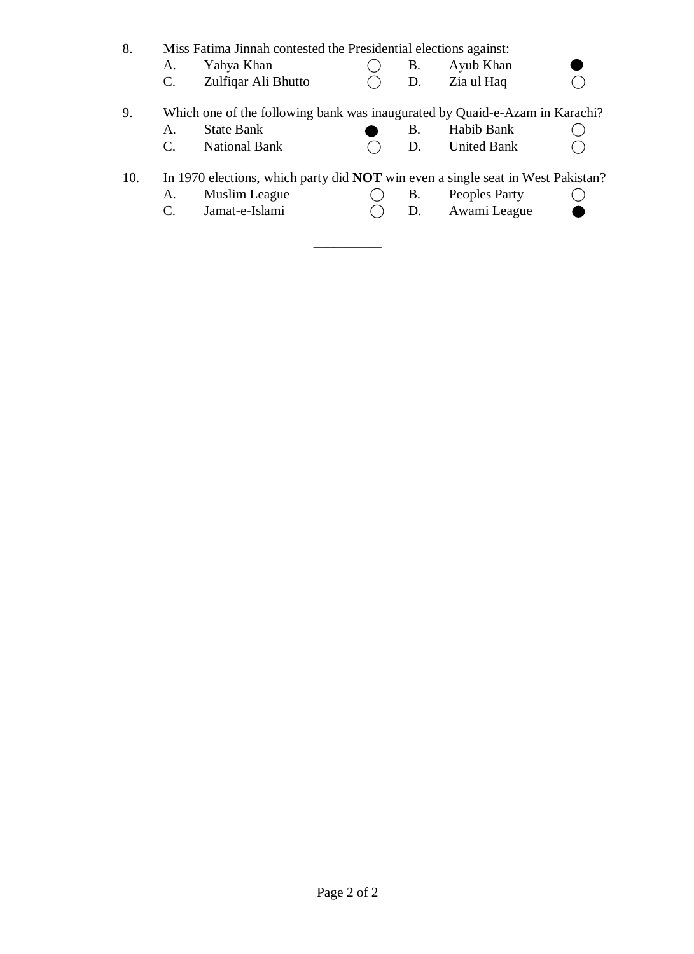| 8.  | A.<br>C. | Miss Fatima Jinnah contested the Presidential elections against:<br>Yahya Khan<br>Zulfiqar Ali Bhutto                     | Β.<br>D. | Ayub Khan<br>Zia ul Haq          |  |
|-----|----------|---------------------------------------------------------------------------------------------------------------------------|----------|----------------------------------|--|
| 9.  | A.<br>C. | Which one of the following bank was inaugurated by Quaid-e-Azam in Karachi?<br><b>State Bank</b><br><b>National Bank</b>  | B.<br>D. | Habib Bank<br><b>United Bank</b> |  |
| 10. | A.<br>C. | In 1970 elections, which party did <b>NOT</b> win even a single seat in West Pakistan?<br>Muslim League<br>Jamat-e-Islami | В.<br>D. | Peoples Party<br>Awami League    |  |

\_\_\_\_\_\_\_\_\_\_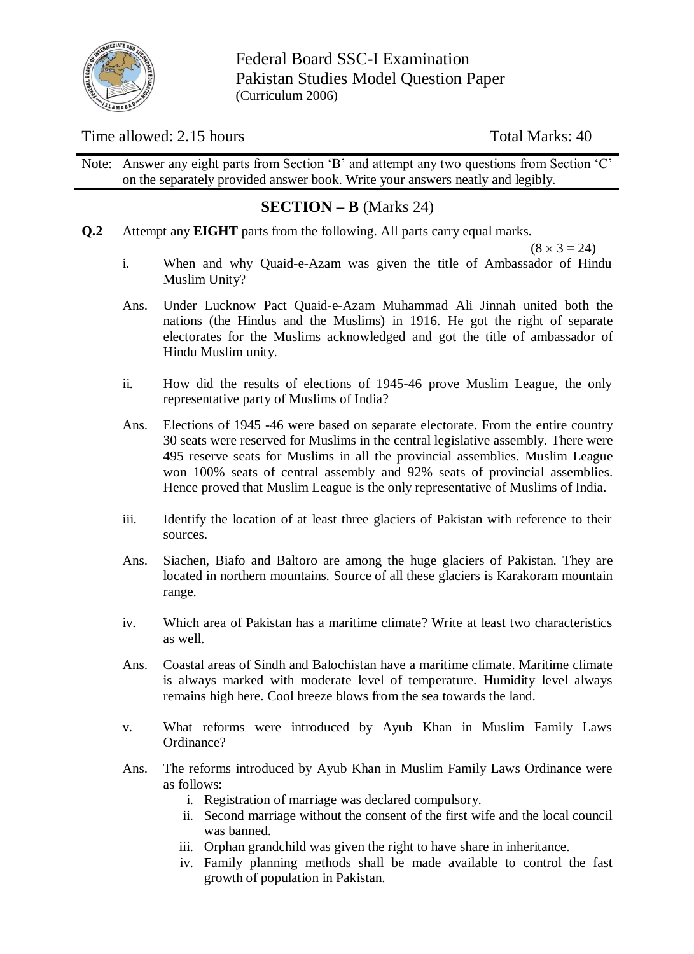

Federal Board SSC-I Examination Pakistan Studies Model Question Paper (Curriculum 2006)

## Time allowed: 2.15 hours Total Marks: 40

Note: Answer any eight parts from Section 'B' and attempt any two questions from Section 'C' on the separately provided answer book. Write your answers neatly and legibly.

## **SECTION – B** (Marks 24)

**Q.2** Attempt any **EIGHT** parts from the following. All parts carry equal marks.

 $(8 \times 3 = 24)$ 

- i. When and why Quaid-e-Azam was given the title of Ambassador of Hindu Muslim Unity?
- Ans. Under Lucknow Pact Quaid-e-Azam Muhammad Ali Jinnah united both the nations (the Hindus and the Muslims) in 1916. He got the right of separate electorates for the Muslims acknowledged and got the title of ambassador of Hindu Muslim unity.
- ii. How did the results of elections of 1945-46 prove Muslim League, the only representative party of Muslims of India?
- Ans. Elections of 1945 -46 were based on separate electorate. From the entire country 30 seats were reserved for Muslims in the central legislative assembly. There were 495 reserve seats for Muslims in all the provincial assemblies. Muslim League won 100% seats of central assembly and 92% seats of provincial assemblies. Hence proved that Muslim League is the only representative of Muslims of India.
- iii. Identify the location of at least three glaciers of Pakistan with reference to their sources.
- Ans. Siachen, Biafo and Baltoro are among the huge glaciers of Pakistan. They are located in northern mountains. Source of all these glaciers is Karakoram mountain range.
- iv. Which area of Pakistan has a maritime climate? Write at least two characteristics as well.
- Ans. Coastal areas of Sindh and Balochistan have a maritime climate. Maritime climate is always marked with moderate level of temperature. Humidity level always remains high here. Cool breeze blows from the sea towards the land.
- v. What reforms were introduced by Ayub Khan in Muslim Family Laws Ordinance?
- Ans. The reforms introduced by Ayub Khan in Muslim Family Laws Ordinance were as follows:
	- i. Registration of marriage was declared compulsory.
	- ii. Second marriage without the consent of the first wife and the local council was banned.
	- iii. Orphan grandchild was given the right to have share in inheritance.
	- iv. Family planning methods shall be made available to control the fast growth of population in Pakistan.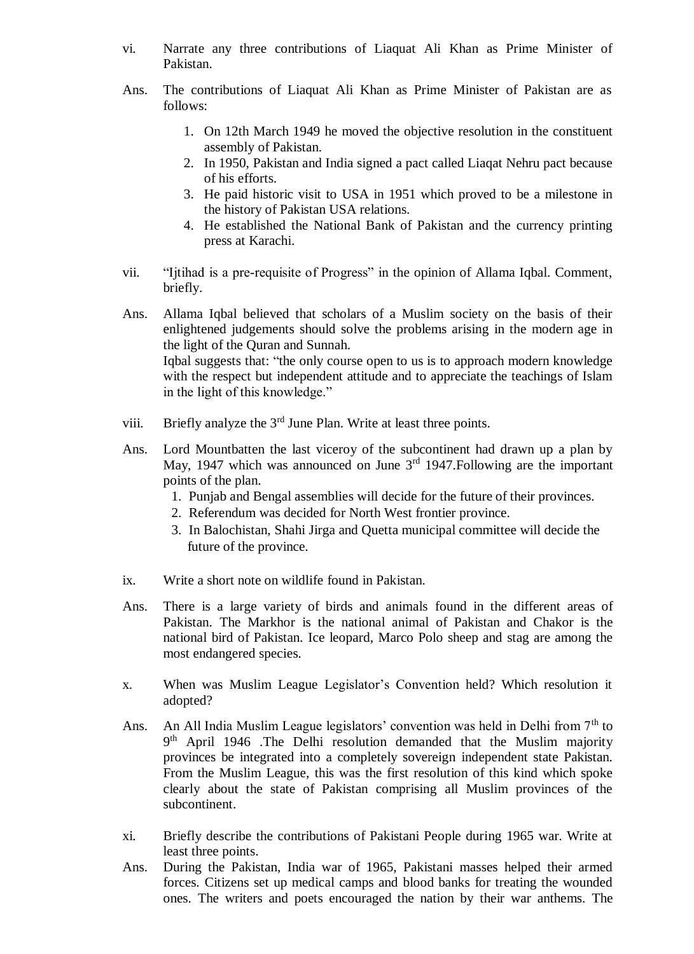- vi. Narrate any three contributions of Liaquat Ali Khan as Prime Minister of Pakistan.
- Ans. The contributions of Liaquat Ali Khan as Prime Minister of Pakistan are as follows:
	- 1. On 12th March 1949 he moved the objective resolution in the constituent assembly of Pakistan.
	- 2. In 1950, Pakistan and India signed a pact called Liaqat Nehru pact because of his efforts.
	- 3. He paid historic visit to USA in 1951 which proved to be a milestone in the history of Pakistan USA relations.
	- 4. He established the National Bank of Pakistan and the currency printing press at Karachi.
- vii. "Ijtihad is a pre-requisite of Progress" in the opinion of Allama Iqbal. Comment, briefly.
- Ans. Allama Iqbal believed that scholars of a Muslim society on the basis of their enlightened judgements should solve the problems arising in the modern age in the light of the Quran and Sunnah. Iqbal suggests that: "the only course open to us is to approach modern knowledge with the respect but independent attitude and to appreciate the teachings of Islam in the light of this knowledge."
- viii. Briefly analyze the  $3<sup>rd</sup>$  June Plan. Write at least three points.
- Ans. Lord Mountbatten the last viceroy of the subcontinent had drawn up a plan by May, 1947 which was announced on June  $3<sup>rd</sup>$  1947. Following are the important points of the plan.
	- 1. Punjab and Bengal assemblies will decide for the future of their provinces.
	- 2. Referendum was decided for North West frontier province.
	- 3. In Balochistan, Shahi Jirga and Quetta municipal committee will decide the future of the province.
- ix. Write a short note on wildlife found in Pakistan.
- Ans. There is a large variety of birds and animals found in the different areas of Pakistan. The Markhor is the national animal of Pakistan and Chakor is the national bird of Pakistan. Ice leopard, Marco Polo sheep and stag are among the most endangered species.
- x. When was Muslim League Legislator's Convention held? Which resolution it adopted?
- Ans. An All India Muslim League legislators' convention was held in Delhi from 7<sup>th</sup> to 9<sup>th</sup> April 1946 .The Delhi resolution demanded that the Muslim majority provinces be integrated into a completely sovereign independent state Pakistan. From the Muslim League, this was the first resolution of this kind which spoke clearly about the state of Pakistan comprising all Muslim provinces of the subcontinent.
- xi. Briefly describe the contributions of Pakistani People during 1965 war. Write at least three points.
- Ans. During the Pakistan, India war of 1965, Pakistani masses helped their armed forces. Citizens set up medical camps and blood banks for treating the wounded ones. The writers and poets encouraged the nation by their war anthems. The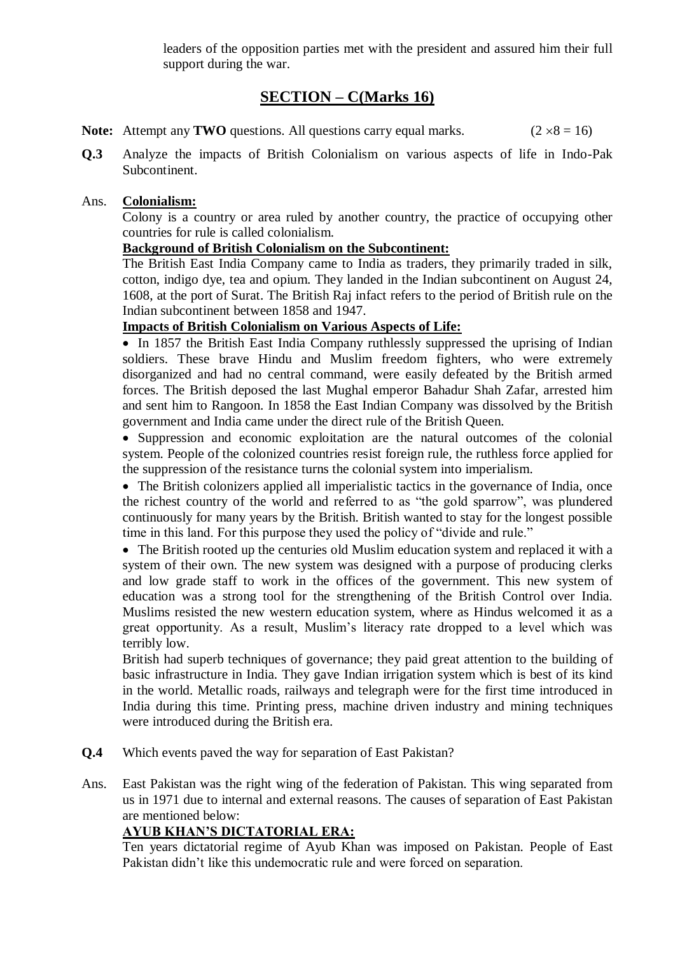leaders of the opposition parties met with the president and assured him their full support during the war.

# **SECTION – C(Marks 16)**

- **Note:** Attempt any **TWO** questions. All questions carry equal marks. ( $2 \times 8 = 16$ )
- **Q.3** Analyze the impacts of British Colonialism on various aspects of life in Indo-Pak Subcontinent.

#### Ans. **Colonialism:**

Colony is a country or area ruled by another country, the practice of occupying other countries for rule is called colonialism.

#### **Background of British Colonialism on the Subcontinent:**

The British East India Company came to India as traders, they primarily traded in silk, cotton, indigo dye, tea and opium. They landed in the Indian subcontinent on August 24, 1608, at the port of Surat. The British Raj infact refers to the period of British rule on the Indian subcontinent between 1858 and 1947.

#### **Impacts of British Colonialism on Various Aspects of Life:**

• In 1857 the British East India Company ruthlessly suppressed the uprising of Indian soldiers. These brave Hindu and Muslim freedom fighters, who were extremely disorganized and had no central command, were easily defeated by the British armed forces. The British deposed the last Mughal emperor Bahadur Shah Zafar, arrested him and sent him to Rangoon. In 1858 the East Indian Company was dissolved by the British government and India came under the direct rule of the British Queen.

• Suppression and economic exploitation are the natural outcomes of the colonial system. People of the colonized countries resist foreign rule, the ruthless force applied for the suppression of the resistance turns the colonial system into imperialism.

 The British colonizers applied all imperialistic tactics in the governance of India, once the richest country of the world and referred to as "the gold sparrow", was plundered continuously for many years by the British. British wanted to stay for the longest possible time in this land. For this purpose they used the policy of "divide and rule."

 The British rooted up the centuries old Muslim education system and replaced it with a system of their own. The new system was designed with a purpose of producing clerks and low grade staff to work in the offices of the government. This new system of education was a strong tool for the strengthening of the British Control over India. Muslims resisted the new western education system, where as Hindus welcomed it as a great opportunity. As a result, Muslim's literacy rate dropped to a level which was terribly low.

British had superb techniques of governance; they paid great attention to the building of basic infrastructure in India. They gave Indian irrigation system which is best of its kind in the world. Metallic roads, railways and telegraph were for the first time introduced in India during this time. Printing press, machine driven industry and mining techniques were introduced during the British era.

- **Q.4** Which events paved the way for separation of East Pakistan?
- Ans. East Pakistan was the right wing of the federation of Pakistan. This wing separated from us in 1971 due to internal and external reasons. The causes of separation of East Pakistan are mentioned below:

#### **AYUB KHAN'S DICTATORIAL ERA:**

Ten years dictatorial regime of Ayub Khan was imposed on Pakistan. People of East Pakistan didn't like this undemocratic rule and were forced on separation.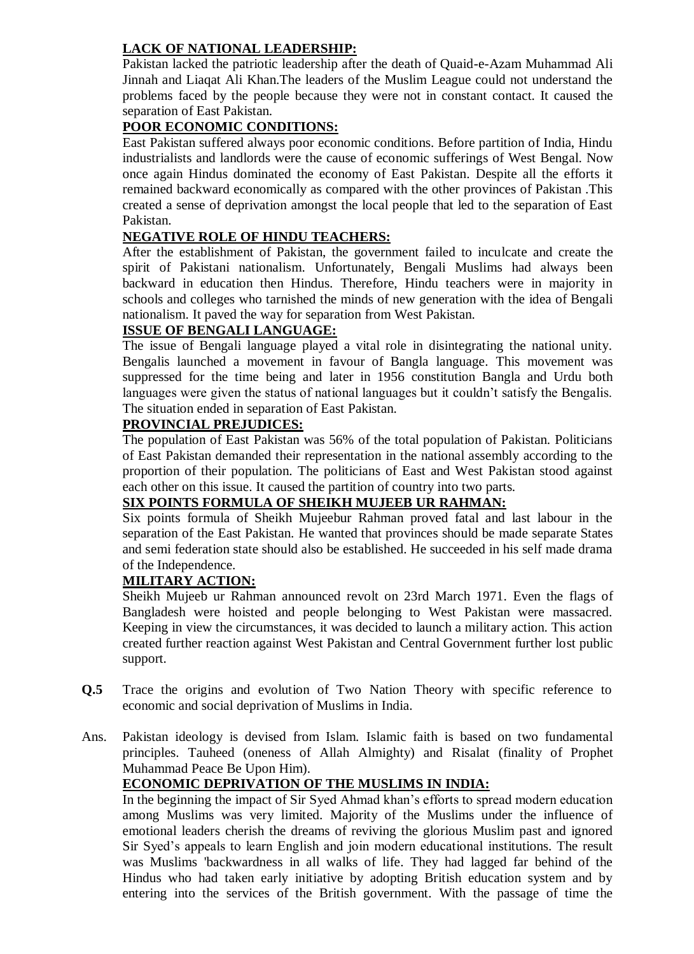### **LACK OF NATIONAL LEADERSHIP:**

Pakistan lacked the patriotic leadership after the death of Quaid-e-Azam Muhammad Ali Jinnah and Liaqat Ali Khan.The leaders of the Muslim League could not understand the problems faced by the people because they were not in constant contact. It caused the separation of East Pakistan.

#### **POOR ECONOMIC CONDITIONS:**

East Pakistan suffered always poor economic conditions. Before partition of India, Hindu industrialists and landlords were the cause of economic sufferings of West Bengal. Now once again Hindus dominated the economy of East Pakistan. Despite all the efforts it remained backward economically as compared with the other provinces of Pakistan .This created a sense of deprivation amongst the local people that led to the separation of East Pakistan.

#### **NEGATIVE ROLE OF HINDU TEACHERS:**

After the establishment of Pakistan, the government failed to inculcate and create the spirit of Pakistani nationalism. Unfortunately, Bengali Muslims had always been backward in education then Hindus. Therefore, Hindu teachers were in majority in schools and colleges who tarnished the minds of new generation with the idea of Bengali nationalism. It paved the way for separation from West Pakistan.

### **ISSUE OF BENGALI LANGUAGE:**

The issue of Bengali language played a vital role in disintegrating the national unity. Bengalis launched a movement in favour of Bangla language. This movement was suppressed for the time being and later in 1956 constitution Bangla and Urdu both languages were given the status of national languages but it couldn't satisfy the Bengalis. The situation ended in separation of East Pakistan.

### **PROVINCIAL PREJUDICES:**

The population of East Pakistan was 56% of the total population of Pakistan. Politicians of East Pakistan demanded their representation in the national assembly according to the proportion of their population. The politicians of East and West Pakistan stood against each other on this issue. It caused the partition of country into two parts.

#### **SIX POINTS FORMULA OF SHEIKH MUJEEB UR RAHMAN:**

Six points formula of Sheikh Mujeebur Rahman proved fatal and last labour in the separation of the East Pakistan. He wanted that provinces should be made separate States and semi federation state should also be established. He succeeded in his self made drama of the Independence.

#### **MILITARY ACTION:**

Sheikh Mujeeb ur Rahman announced revolt on 23rd March 1971. Even the flags of Bangladesh were hoisted and people belonging to West Pakistan were massacred. Keeping in view the circumstances, it was decided to launch a military action. This action created further reaction against West Pakistan and Central Government further lost public support.

- **Q.5** Trace the origins and evolution of Two Nation Theory with specific reference to economic and social deprivation of Muslims in India.
- Ans. Pakistan ideology is devised from Islam. Islamic faith is based on two fundamental principles. Tauheed (oneness of Allah Almighty) and Risalat (finality of Prophet Muhammad Peace Be Upon Him).

## **ECONOMIC DEPRIVATION OF THE MUSLIMS IN INDIA:**

In the beginning the impact of Sir Syed Ahmad khan's efforts to spread modern education among Muslims was very limited. Majority of the Muslims under the influence of emotional leaders cherish the dreams of reviving the glorious Muslim past and ignored Sir Syed's appeals to learn English and join modern educational institutions. The result was Muslims 'backwardness in all walks of life. They had lagged far behind of the Hindus who had taken early initiative by adopting British education system and by entering into the services of the British government. With the passage of time the